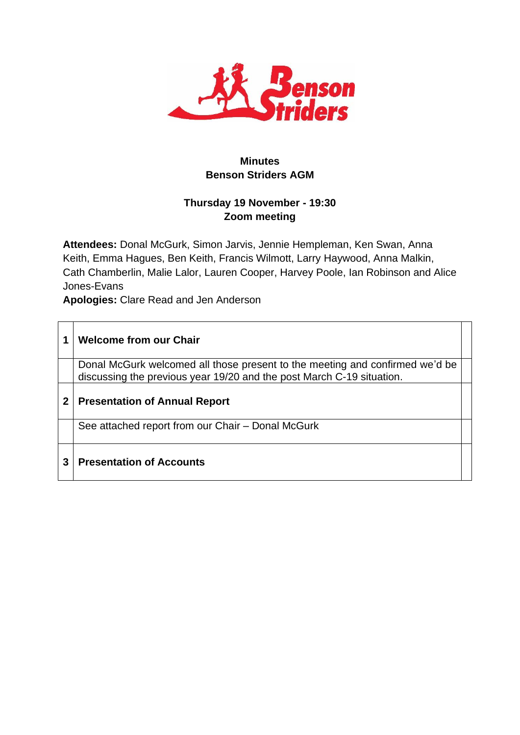

# **Minutes Benson Striders AGM**

## **Thursday 19 November - 19:30 Zoom meeting**

**Attendees:** Donal McGurk, Simon Jarvis, Jennie Hempleman, Ken Swan, Anna Keith, Emma Hagues, Ben Keith, Francis Wilmott, Larry Haywood, Anna Malkin, Cath Chamberlin, Malie Lalor, Lauren Cooper, Harvey Poole, Ian Robinson and Alice Jones-Evans

**Apologies:** Clare Read and Jen Anderson

|   | <b>Welcome from our Chair</b>                                                                                                                         |  |
|---|-------------------------------------------------------------------------------------------------------------------------------------------------------|--|
|   | Donal McGurk welcomed all those present to the meeting and confirmed we'd be<br>discussing the previous year 19/20 and the post March C-19 situation. |  |
| 2 | <b>Presentation of Annual Report</b>                                                                                                                  |  |
|   | See attached report from our Chair – Donal McGurk                                                                                                     |  |
| 3 | <b>Presentation of Accounts</b>                                                                                                                       |  |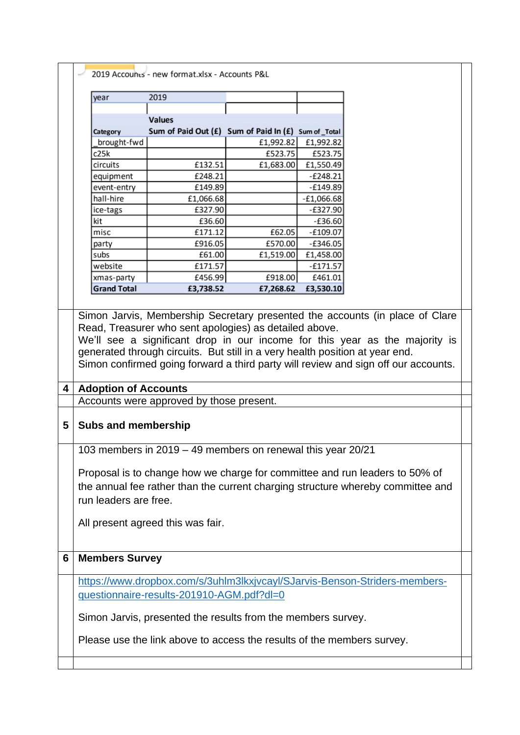|   | 2019 Accounts - new format.xlsx - Accounts P&L                                                                                                                                                                                                                                                                                                                                              |                                                             |           |              |                                                                                 |  |
|---|---------------------------------------------------------------------------------------------------------------------------------------------------------------------------------------------------------------------------------------------------------------------------------------------------------------------------------------------------------------------------------------------|-------------------------------------------------------------|-----------|--------------|---------------------------------------------------------------------------------|--|
|   | 2019<br>year                                                                                                                                                                                                                                                                                                                                                                                |                                                             |           |              |                                                                                 |  |
|   |                                                                                                                                                                                                                                                                                                                                                                                             |                                                             |           |              |                                                                                 |  |
|   |                                                                                                                                                                                                                                                                                                                                                                                             | <b>Values</b>                                               |           |              |                                                                                 |  |
|   | Category                                                                                                                                                                                                                                                                                                                                                                                    | Sum of Paid Out (£) Sum of Paid In (£) Sum of _Total        |           |              |                                                                                 |  |
|   | brought-fwd                                                                                                                                                                                                                                                                                                                                                                                 |                                                             | £1,992.82 | £1,992.82    |                                                                                 |  |
|   | c25k                                                                                                                                                                                                                                                                                                                                                                                        |                                                             | £523.75   | £523.75      |                                                                                 |  |
|   | circuits                                                                                                                                                                                                                                                                                                                                                                                    | £132.51                                                     | £1,683.00 | £1,550.49    |                                                                                 |  |
|   | equipment                                                                                                                                                                                                                                                                                                                                                                                   | £248.21                                                     |           | $-E248.21$   |                                                                                 |  |
|   | event-entry                                                                                                                                                                                                                                                                                                                                                                                 | £149.89                                                     |           | $-E149.89$   |                                                                                 |  |
|   | hall-hire                                                                                                                                                                                                                                                                                                                                                                                   | £1,066.68                                                   |           | $-E1,066.68$ |                                                                                 |  |
|   | ice-tags                                                                                                                                                                                                                                                                                                                                                                                    | £327.90                                                     |           | $-E327.90$   |                                                                                 |  |
|   | kit                                                                                                                                                                                                                                                                                                                                                                                         | £36.60                                                      |           | $-£36.60$    |                                                                                 |  |
|   | misc                                                                                                                                                                                                                                                                                                                                                                                        | £171.12                                                     | £62.05    | $-£109.07$   |                                                                                 |  |
|   | party                                                                                                                                                                                                                                                                                                                                                                                       | £916.05                                                     | £570.00   | $-£346.05$   |                                                                                 |  |
|   | subs                                                                                                                                                                                                                                                                                                                                                                                        | £61.00                                                      | £1,519.00 | £1,458.00    |                                                                                 |  |
|   | website                                                                                                                                                                                                                                                                                                                                                                                     | £171.57                                                     |           | $-£171.57$   |                                                                                 |  |
|   | xmas-party                                                                                                                                                                                                                                                                                                                                                                                  | £456.99                                                     | £918.00   | £461.01      |                                                                                 |  |
|   | <b>Grand Total</b>                                                                                                                                                                                                                                                                                                                                                                          | £3,738.52                                                   | £7,268.62 | £3,530.10    |                                                                                 |  |
|   |                                                                                                                                                                                                                                                                                                                                                                                             |                                                             |           |              |                                                                                 |  |
|   | Simon Jarvis, Membership Secretary presented the accounts (in place of Clare<br>Read, Treasurer who sent apologies) as detailed above.<br>We'll see a significant drop in our income for this year as the majority is<br>generated through circuits. But still in a very health position at year end.<br>Simon confirmed going forward a third party will review and sign off our accounts. |                                                             |           |              |                                                                                 |  |
| 4 | <b>Adoption of Accounts</b>                                                                                                                                                                                                                                                                                                                                                                 |                                                             |           |              |                                                                                 |  |
|   |                                                                                                                                                                                                                                                                                                                                                                                             |                                                             |           |              |                                                                                 |  |
|   | Accounts were approved by those present.                                                                                                                                                                                                                                                                                                                                                    |                                                             |           |              |                                                                                 |  |
| 5 | <b>Subs and membership</b>                                                                                                                                                                                                                                                                                                                                                                  |                                                             |           |              |                                                                                 |  |
|   |                                                                                                                                                                                                                                                                                                                                                                                             | 103 members in 2019 - 49 members on renewal this year 20/21 |           |              |                                                                                 |  |
|   |                                                                                                                                                                                                                                                                                                                                                                                             |                                                             |           |              | Proposal is to change how we charge for committee and run leaders to 50% of     |  |
|   |                                                                                                                                                                                                                                                                                                                                                                                             |                                                             |           |              | the annual fee rather than the current charging structure whereby committee and |  |
|   |                                                                                                                                                                                                                                                                                                                                                                                             |                                                             |           |              |                                                                                 |  |
|   | run leaders are free.                                                                                                                                                                                                                                                                                                                                                                       |                                                             |           |              |                                                                                 |  |
|   | All present agreed this was fair.                                                                                                                                                                                                                                                                                                                                                           |                                                             |           |              |                                                                                 |  |
|   |                                                                                                                                                                                                                                                                                                                                                                                             |                                                             |           |              |                                                                                 |  |
| 6 | <b>Members Survey</b>                                                                                                                                                                                                                                                                                                                                                                       |                                                             |           |              |                                                                                 |  |
|   |                                                                                                                                                                                                                                                                                                                                                                                             |                                                             |           |              |                                                                                 |  |
|   | https://www.dropbox.com/s/3uhlm3lkxjvcayl/SJarvis-Benson-Striders-members-<br>questionnaire-results-201910-AGM.pdf?dl=0                                                                                                                                                                                                                                                                     |                                                             |           |              |                                                                                 |  |
|   | Simon Jarvis, presented the results from the members survey.                                                                                                                                                                                                                                                                                                                                |                                                             |           |              |                                                                                 |  |
|   | Please use the link above to access the results of the members survey.                                                                                                                                                                                                                                                                                                                      |                                                             |           |              |                                                                                 |  |
|   |                                                                                                                                                                                                                                                                                                                                                                                             |                                                             |           |              |                                                                                 |  |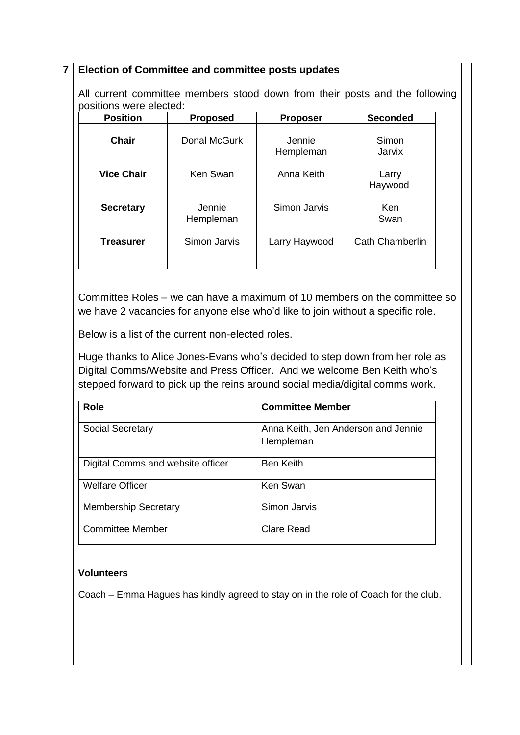#### **7 Election of Committee and committee posts updates**

All current committee members stood down from their posts and the following positions were elected:

| <b>Position</b>   | <b>Proposed</b>     | <b>Proposer</b>     | <b>Seconded</b>        |
|-------------------|---------------------|---------------------|------------------------|
| <b>Chair</b>      | Donal McGurk        | Jennie<br>Hempleman | Simon<br>Jarvix        |
| <b>Vice Chair</b> | Ken Swan            | Anna Keith          | Larry<br>Haywood       |
| <b>Secretary</b>  | Jennie<br>Hempleman | Simon Jarvis        | <b>Ken</b><br>Swan     |
| <b>Treasurer</b>  | Simon Jarvis        | Larry Haywood       | <b>Cath Chamberlin</b> |
|                   |                     |                     |                        |

Committee Roles – we can have a maximum of 10 members on the committee so we have 2 vacancies for anyone else who'd like to join without a specific role.

Below is a list of the current non-elected roles.

Huge thanks to Alice Jones-Evans who's decided to step down from her role as Digital Comms/Website and Press Officer. And we welcome Ben Keith who's stepped forward to pick up the reins around social media/digital comms work.

| <b>Role</b>                       | <b>Committee Member</b>                          |
|-----------------------------------|--------------------------------------------------|
| <b>Social Secretary</b>           | Anna Keith, Jen Anderson and Jennie<br>Hempleman |
| Digital Comms and website officer | <b>Ben Keith</b>                                 |
| <b>Welfare Officer</b>            | Ken Swan                                         |
| <b>Membership Secretary</b>       | Simon Jarvis                                     |
| <b>Committee Member</b>           | <b>Clare Read</b>                                |

#### **Volunteers**

Coach – Emma Hagues has kindly agreed to stay on in the role of Coach for the club.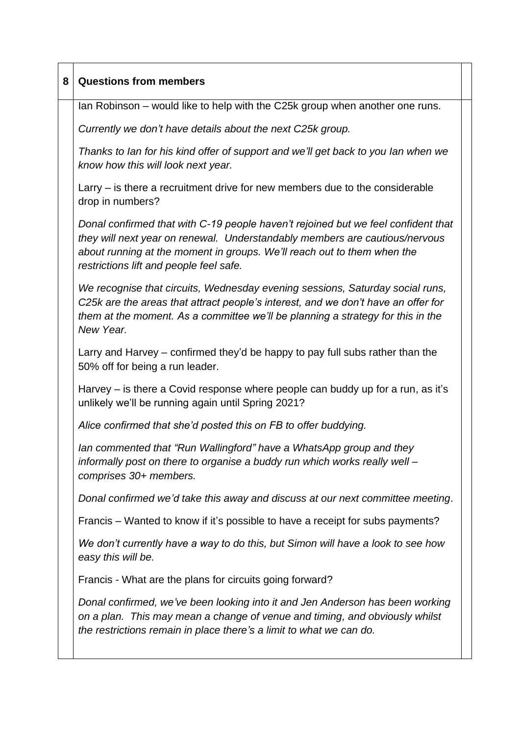| 8 | <b>Questions from members</b>                                                                                                                                                                                                                                                          |  |  |  |
|---|----------------------------------------------------------------------------------------------------------------------------------------------------------------------------------------------------------------------------------------------------------------------------------------|--|--|--|
|   | Ian Robinson – would like to help with the C25k group when another one runs.                                                                                                                                                                                                           |  |  |  |
|   | Currently we don't have details about the next C25k group.                                                                                                                                                                                                                             |  |  |  |
|   | Thanks to lan for his kind offer of support and we'll get back to you lan when we<br>know how this will look next year.                                                                                                                                                                |  |  |  |
|   | Larry – is there a recruitment drive for new members due to the considerable<br>drop in numbers?                                                                                                                                                                                       |  |  |  |
|   | Donal confirmed that with C-19 people haven't rejoined but we feel confident that<br>they will next year on renewal. Understandably members are cautious/nervous<br>about running at the moment in groups. We'll reach out to them when the<br>restrictions lift and people feel safe. |  |  |  |
|   | We recognise that circuits, Wednesday evening sessions, Saturday social runs,<br>C25k are the areas that attract people's interest, and we don't have an offer for<br>them at the moment. As a committee we'll be planning a strategy for this in the<br>New Year.                     |  |  |  |
|   | Larry and Harvey – confirmed they'd be happy to pay full subs rather than the<br>50% off for being a run leader.                                                                                                                                                                       |  |  |  |
|   | Harvey – is there a Covid response where people can buddy up for a run, as it's<br>unlikely we'll be running again until Spring 2021?                                                                                                                                                  |  |  |  |
|   | Alice confirmed that she'd posted this on FB to offer buddying.                                                                                                                                                                                                                        |  |  |  |
|   | Ian commented that "Run Wallingford" have a WhatsApp group and they<br>informally post on there to organise a buddy run which works really well -<br>comprises 30+ members.                                                                                                            |  |  |  |
|   | Donal confirmed we'd take this away and discuss at our next committee meeting.                                                                                                                                                                                                         |  |  |  |
|   | Francis – Wanted to know if it's possible to have a receipt for subs payments?                                                                                                                                                                                                         |  |  |  |
|   | We don't currently have a way to do this, but Simon will have a look to see how<br>easy this will be.                                                                                                                                                                                  |  |  |  |
|   | Francis - What are the plans for circuits going forward?                                                                                                                                                                                                                               |  |  |  |
|   | Donal confirmed, we've been looking into it and Jen Anderson has been working<br>on a plan. This may mean a change of venue and timing, and obviously whilst<br>the restrictions remain in place there's a limit to what we can do.                                                    |  |  |  |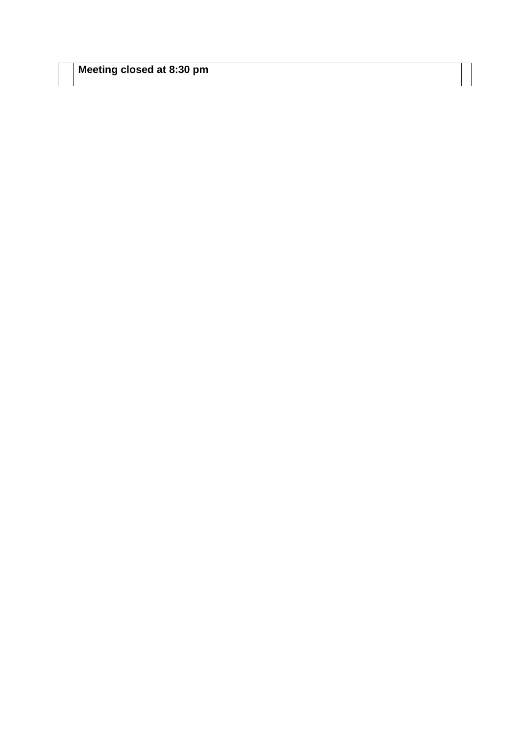| Meeting closed at 8:30 pm |  |  |  |
|---------------------------|--|--|--|
|---------------------------|--|--|--|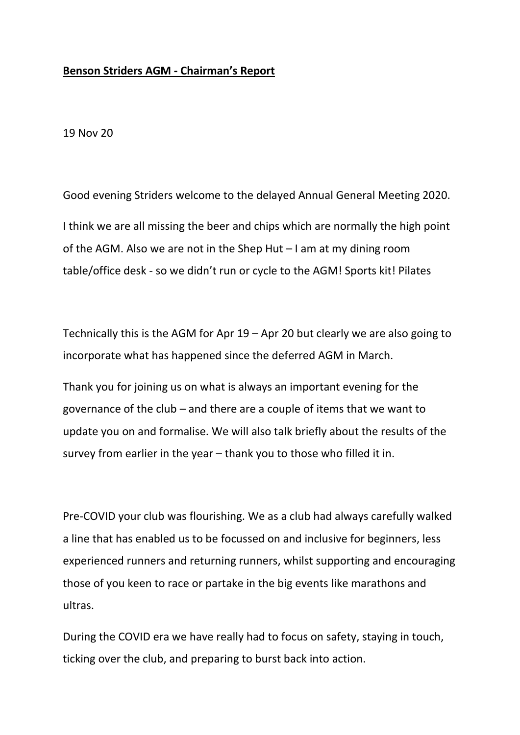### **Benson Striders AGM - Chairman's Report**

19 Nov 20

Good evening Striders welcome to the delayed Annual General Meeting 2020. I think we are all missing the beer and chips which are normally the high point of the AGM. Also we are not in the Shep Hut – I am at my dining room table/office desk - so we didn't run or cycle to the AGM! Sports kit! Pilates

Technically this is the AGM for Apr 19 – Apr 20 but clearly we are also going to incorporate what has happened since the deferred AGM in March.

Thank you for joining us on what is always an important evening for the governance of the club – and there are a couple of items that we want to update you on and formalise. We will also talk briefly about the results of the survey from earlier in the year – thank you to those who filled it in.

Pre-COVID your club was flourishing. We as a club had always carefully walked a line that has enabled us to be focussed on and inclusive for beginners, less experienced runners and returning runners, whilst supporting and encouraging those of you keen to race or partake in the big events like marathons and ultras.

During the COVID era we have really had to focus on safety, staying in touch, ticking over the club, and preparing to burst back into action.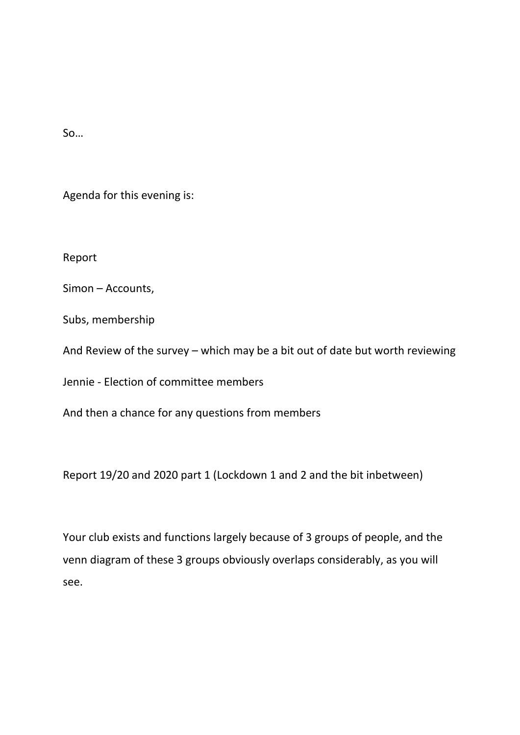So…

Agenda for this evening is:

Report

Simon – Accounts,

Subs, membership

And Review of the survey – which may be a bit out of date but worth reviewing

Jennie - Election of committee members

And then a chance for any questions from members

Report 19/20 and 2020 part 1 (Lockdown 1 and 2 and the bit inbetween)

Your club exists and functions largely because of 3 groups of people, and the venn diagram of these 3 groups obviously overlaps considerably, as you will see.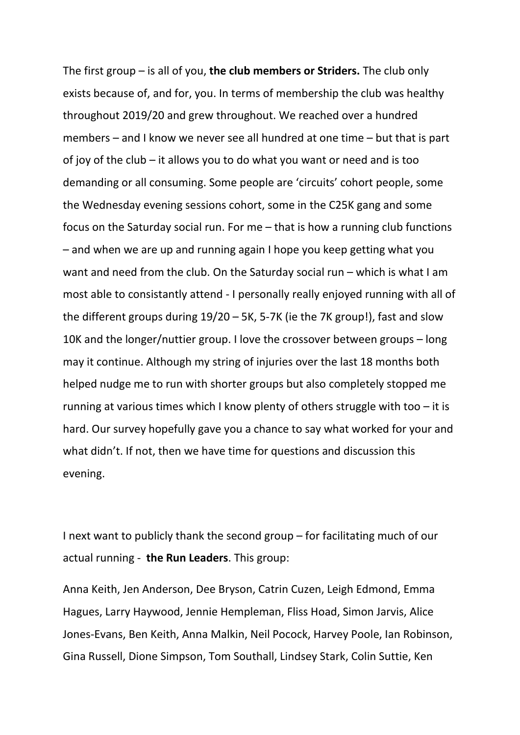The first group – is all of you, **the club members or Striders.** The club only exists because of, and for, you. In terms of membership the club was healthy throughout 2019/20 and grew throughout. We reached over a hundred members – and I know we never see all hundred at one time – but that is part of joy of the club – it allows you to do what you want or need and is too demanding or all consuming. Some people are 'circuits' cohort people, some the Wednesday evening sessions cohort, some in the C25K gang and some focus on the Saturday social run. For me – that is how a running club functions – and when we are up and running again I hope you keep getting what you want and need from the club. On the Saturday social run – which is what I am most able to consistantly attend - I personally really enjoyed running with all of the different groups during 19/20 – 5K, 5-7K (ie the 7K group!), fast and slow 10K and the longer/nuttier group. I love the crossover between groups – long may it continue. Although my string of injuries over the last 18 months both helped nudge me to run with shorter groups but also completely stopped me running at various times which I know plenty of others struggle with too – it is hard. Our survey hopefully gave you a chance to say what worked for your and what didn't. If not, then we have time for questions and discussion this evening.

I next want to publicly thank the second group – for facilitating much of our actual running - **the Run Leaders**. This group:

Anna Keith, Jen Anderson, Dee Bryson, Catrin Cuzen, Leigh Edmond, Emma Hagues, Larry Haywood, Jennie Hempleman, Fliss Hoad, Simon Jarvis, Alice Jones-Evans, Ben Keith, Anna Malkin, Neil Pocock, Harvey Poole, Ian Robinson, Gina Russell, Dione Simpson, Tom Southall, Lindsey Stark, Colin Suttie, Ken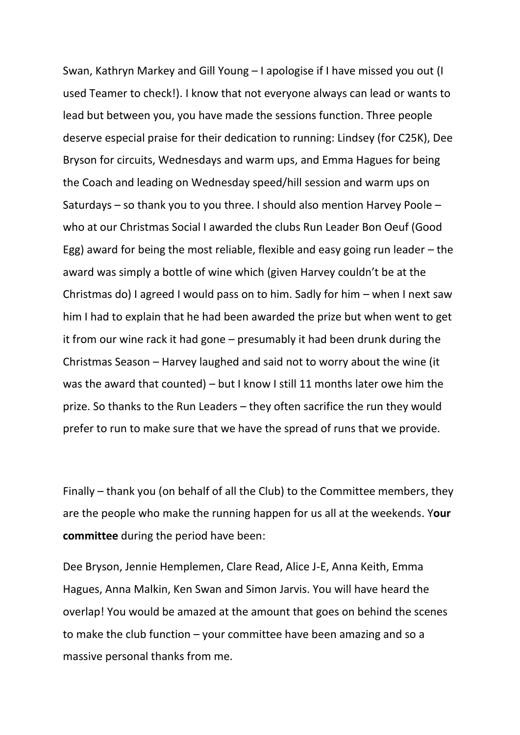Swan, Kathryn Markey and Gill Young – I apologise if I have missed you out (I used Teamer to check!). I know that not everyone always can lead or wants to lead but between you, you have made the sessions function. Three people deserve especial praise for their dedication to running: Lindsey (for C25K), Dee Bryson for circuits, Wednesdays and warm ups, and Emma Hagues for being the Coach and leading on Wednesday speed/hill session and warm ups on Saturdays – so thank you to you three. I should also mention Harvey Poole – who at our Christmas Social I awarded the clubs Run Leader Bon Oeuf (Good Egg) award for being the most reliable, flexible and easy going run leader – the award was simply a bottle of wine which (given Harvey couldn't be at the Christmas do) I agreed I would pass on to him. Sadly for him – when I next saw him I had to explain that he had been awarded the prize but when went to get it from our wine rack it had gone – presumably it had been drunk during the Christmas Season – Harvey laughed and said not to worry about the wine (it was the award that counted) – but I know I still 11 months later owe him the prize. So thanks to the Run Leaders – they often sacrifice the run they would prefer to run to make sure that we have the spread of runs that we provide.

Finally – thank you (on behalf of all the Club) to the Committee members, they are the people who make the running happen for us all at the weekends. Y**our committee** during the period have been:

Dee Bryson, Jennie Hemplemen, Clare Read, Alice J-E, Anna Keith, Emma Hagues, Anna Malkin, Ken Swan and Simon Jarvis. You will have heard the overlap! You would be amazed at the amount that goes on behind the scenes to make the club function – your committee have been amazing and so a massive personal thanks from me.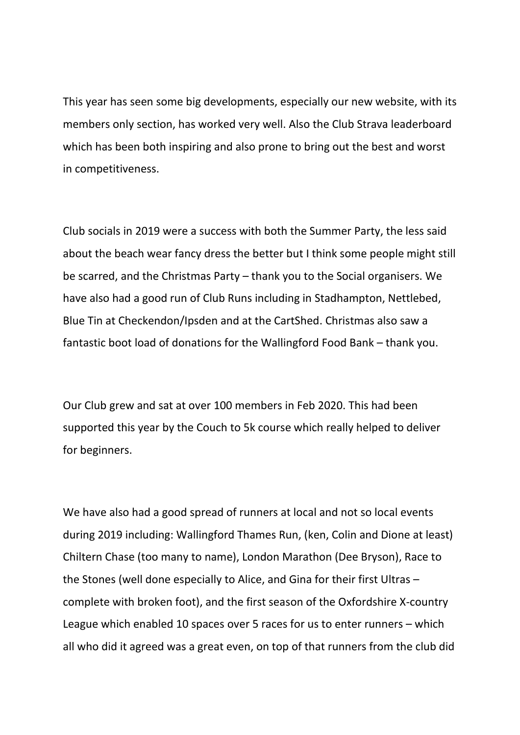This year has seen some big developments, especially our new website, with its members only section, has worked very well. Also the Club Strava leaderboard which has been both inspiring and also prone to bring out the best and worst in competitiveness.

Club socials in 2019 were a success with both the Summer Party, the less said about the beach wear fancy dress the better but I think some people might still be scarred, and the Christmas Party – thank you to the Social organisers. We have also had a good run of Club Runs including in Stadhampton, Nettlebed, Blue Tin at Checkendon/Ipsden and at the CartShed. Christmas also saw a fantastic boot load of donations for the Wallingford Food Bank – thank you.

Our Club grew and sat at over 100 members in Feb 2020. This had been supported this year by the Couch to 5k course which really helped to deliver for beginners.

We have also had a good spread of runners at local and not so local events during 2019 including: Wallingford Thames Run, (ken, Colin and Dione at least) Chiltern Chase (too many to name), London Marathon (Dee Bryson), Race to the Stones (well done especially to Alice, and Gina for their first Ultras – complete with broken foot), and the first season of the Oxfordshire X-country League which enabled 10 spaces over 5 races for us to enter runners – which all who did it agreed was a great even, on top of that runners from the club did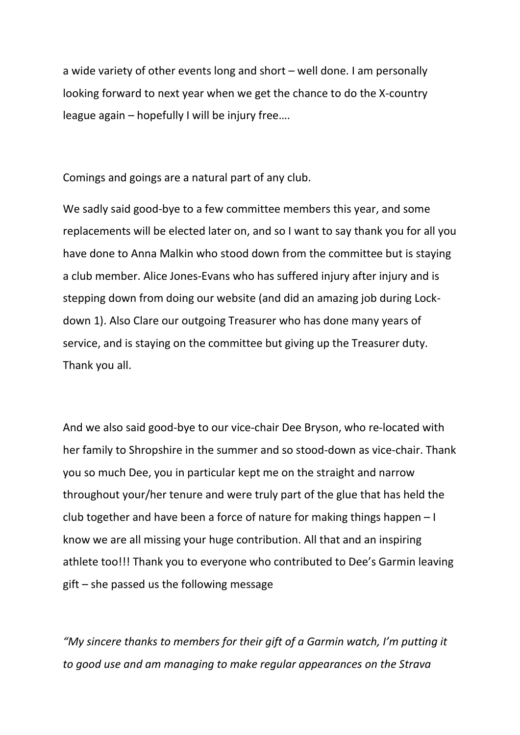a wide variety of other events long and short – well done. I am personally looking forward to next year when we get the chance to do the X-country league again – hopefully I will be injury free….

Comings and goings are a natural part of any club.

We sadly said good-bye to a few committee members this year, and some replacements will be elected later on, and so I want to say thank you for all you have done to Anna Malkin who stood down from the committee but is staying a club member. Alice Jones-Evans who has suffered injury after injury and is stepping down from doing our website (and did an amazing job during Lockdown 1). Also Clare our outgoing Treasurer who has done many years of service, and is staying on the committee but giving up the Treasurer duty. Thank you all.

And we also said good-bye to our vice-chair Dee Bryson, who re-located with her family to Shropshire in the summer and so stood-down as vice-chair. Thank you so much Dee, you in particular kept me on the straight and narrow throughout your/her tenure and were truly part of the glue that has held the club together and have been a force of nature for making things happen – I know we are all missing your huge contribution. All that and an inspiring athlete too!!! Thank you to everyone who contributed to Dee's Garmin leaving gift – she passed us the following message

*"My sincere thanks to members for their gift of a Garmin watch, I'm putting it to good use and am managing to make regular appearances on the Strava*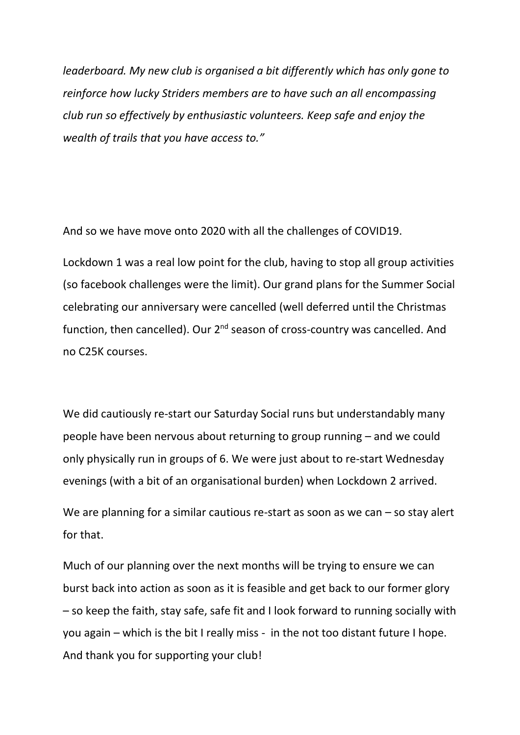*leaderboard. My new club is organised a bit differently which has only gone to reinforce how lucky Striders members are to have such an all encompassing club run so effectively by enthusiastic volunteers. Keep safe and enjoy the wealth of trails that you have access to."*

And so we have move onto 2020 with all the challenges of COVID19.

Lockdown 1 was a real low point for the club, having to stop all group activities (so facebook challenges were the limit). Our grand plans for the Summer Social celebrating our anniversary were cancelled (well deferred until the Christmas function, then cancelled). Our  $2^{nd}$  season of cross-country was cancelled. And no C25K courses.

We did cautiously re-start our Saturday Social runs but understandably many people have been nervous about returning to group running – and we could only physically run in groups of 6. We were just about to re-start Wednesday evenings (with a bit of an organisational burden) when Lockdown 2 arrived.

We are planning for a similar cautious re-start as soon as we can – so stay alert for that.

Much of our planning over the next months will be trying to ensure we can burst back into action as soon as it is feasible and get back to our former glory – so keep the faith, stay safe, safe fit and I look forward to running socially with you again – which is the bit I really miss - in the not too distant future I hope. And thank you for supporting your club!